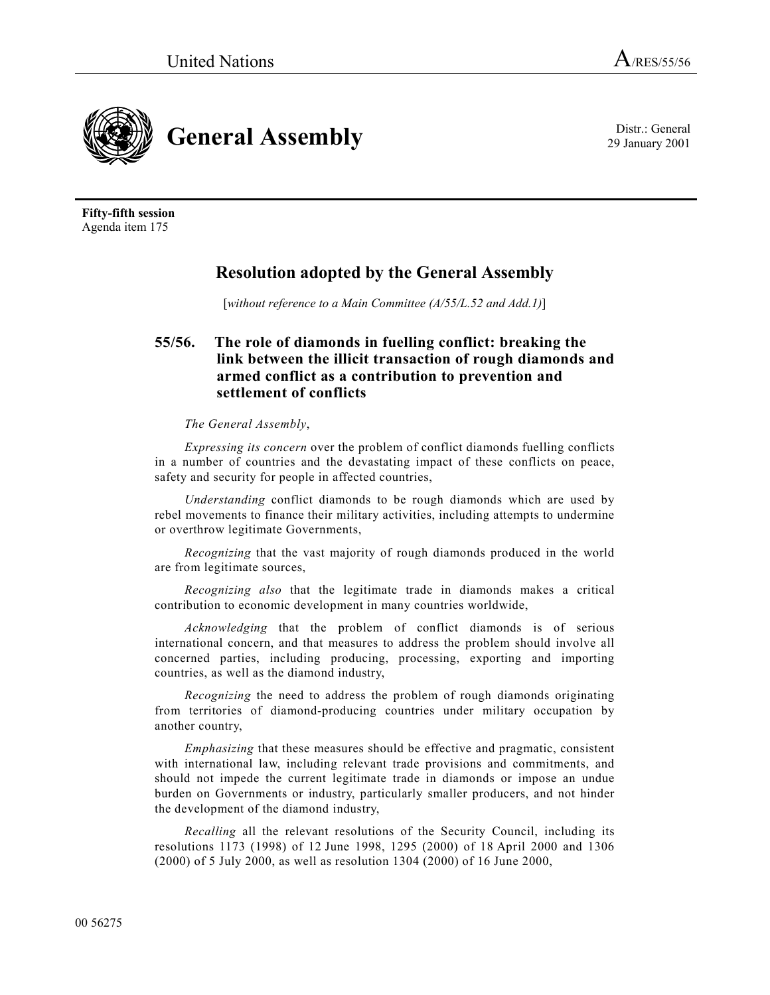

29 January 2001

**Fifty-fifth session** Agenda item 175

## **Resolution adopted by the General Assembly**

[*without reference to a Main Committee (A/55/L.52 and Add.1)*]

## **55/56. The role of diamonds in fuelling conflict: breaking the link between the illicit transaction of rough diamonds and armed conflict as a contribution to prevention and settlement of conflicts**

## *The General Assembly*,

*Expressing its concern* over the problem of conflict diamonds fuelling conflicts in a number of countries and the devastating impact of these conflicts on peace, safety and security for people in affected countries,

*Understanding* conflict diamonds to be rough diamonds which are used by rebel movements to finance their military activities, including attempts to undermine or overthrow legitimate Governments,

*Recognizing* that the vast majority of rough diamonds produced in the world are from legitimate sources,

*Recognizing also* that the legitimate trade in diamonds makes a critical contribution to economic development in many countries worldwide,

*Acknowledging* that the problem of conflict diamonds is of serious international concern, and that measures to address the problem should involve all concerned parties, including producing, processing, exporting and importing countries, as well as the diamond industry,

*Recognizing* the need to address the problem of rough diamonds originating from territories of diamond-producing countries under military occupation by another country,

*Emphasizing* that these measures should be effective and pragmatic, consistent with international law, including relevant trade provisions and commitments, and should not impede the current legitimate trade in diamonds or impose an undue burden on Governments or industry, particularly smaller producers, and not hinder the development of the diamond industry,

*Recalling* all the relevant resolutions of the Security Council, including its resolutions 1173 (1998) of 12 June 1998, 1295 (2000) of 18 April 2000 and 1306 (2000) of 5 July 2000, as well as resolution 1304 (2000) of 16 June 2000,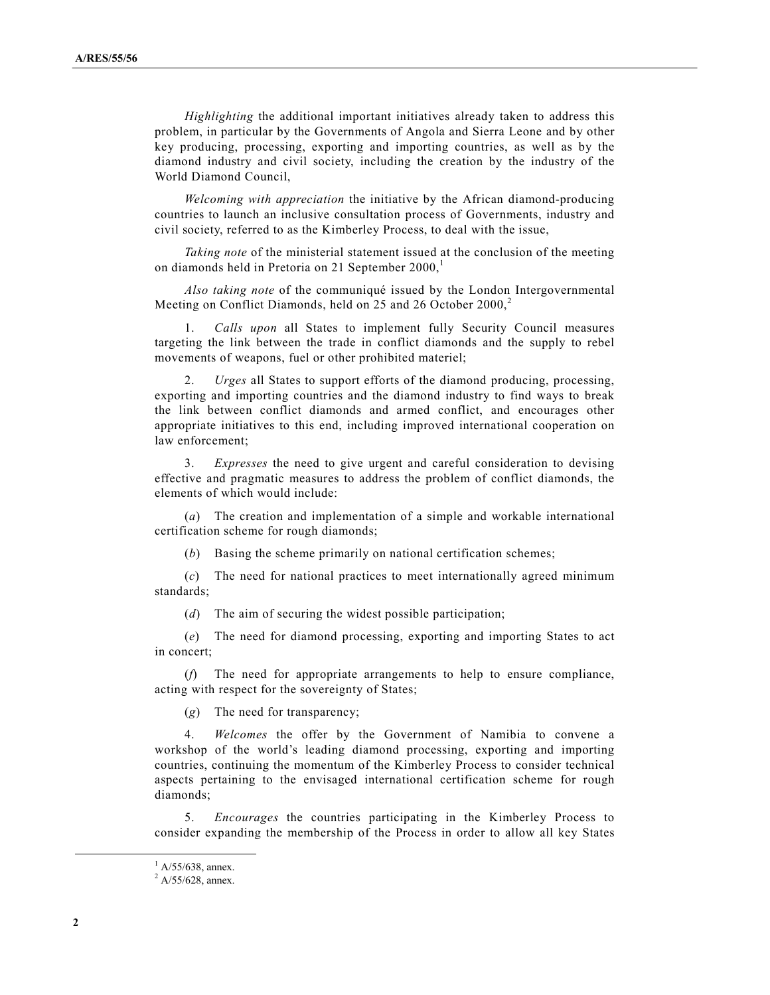*Highlighting* the additional important initiatives already taken to address this problem, in particular by the Governments of Angola and Sierra Leone and by other key producing, processing, exporting and importing countries, as well as by the diamond industry and civil society, including the creation by the industry of the World Diamond Council,

*Welcoming with appreciation* the initiative by the African diamond-producing countries to launch an inclusive consultation process of Governments, industry and civil society, referred to as the Kimberley Process, to deal with the issue,

*Taking note* of the ministerial statement issued at the conclusion of the meeting on diamonds held in Pretoria on 21 September 2000,<sup>1</sup>

*Also taking note* of the communiqué issued by the London Intergovernmental Meeting on Conflict Diamonds, held on 25 and 26 October 2000,<sup>2</sup>

1. *Calls upon* all States to implement fully Security Council measures targeting the link between the trade in conflict diamonds and the supply to rebel movements of weapons, fuel or other prohibited materiel;

2. *Urges* all States to support efforts of the diamond producing, processing, exporting and importing countries and the diamond industry to find ways to break the link between conflict diamonds and armed conflict, and encourages other appropriate initiatives to this end, including improved international cooperation on law enforcement;

3. *Expresses* the need to give urgent and careful consideration to devising effective and pragmatic measures to address the problem of conflict diamonds, the elements of which would include:

(*a*) The creation and implementation of a simple and workable international certification scheme for rough diamonds;

(*b*) Basing the scheme primarily on national certification schemes;

(*c*) The need for national practices to meet internationally agreed minimum standards;

(*d*) The aim of securing the widest possible participation;

(*e*) The need for diamond processing, exporting and importing States to act in concert;

(*f*) The need for appropriate arrangements to help to ensure compliance, acting with respect for the sovereignty of States;

(*g*) The need for transparency;

4. *Welcomes* the offer by the Government of Namibia to convene a workshop of the world's leading diamond processing, exporting and importing countries, continuing the momentum of the Kimberley Process to consider technical aspects pertaining to the envisaged international certification scheme for rough diamonds;

5. *Encourages* the countries participating in the Kimberley Process to consider expanding the membership of the Process in order to allow all key States

<sup>&</sup>lt;u>1</u>  $^{1}$  A/55/638, annex.

 $^{2}$  A/55/628, annex.